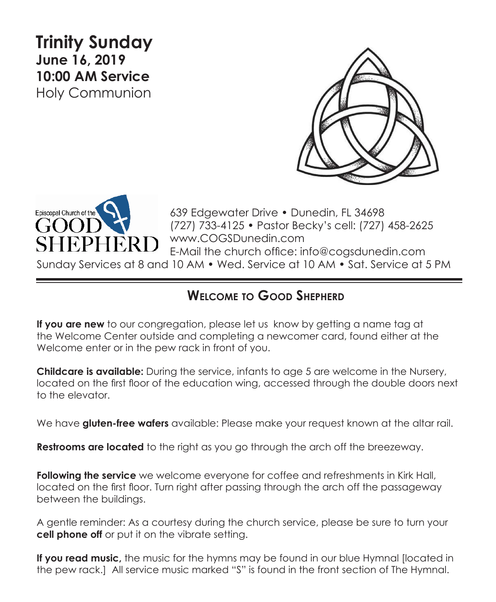# **Trinity Sunday June 16, 2019 10:00 AM Service**  Holy Communion





639 Edgewater Drive • Dunedin, FL 34698 (727) 733-4125 • Pastor Becky's cell: (727) 458-2625 www.COGSDunedin.com E-Mail the church office: info@cogsdunedin.com

Sunday Services at 8 and 10 AM • Wed. Service at 10 AM • Sat. Service at 5 PM

## **Welcome to Good Shepherd**

**If you are new** to our congregation, please let us know by getting a name tag at the Welcome Center outside and completing a newcomer card, found either at the Welcome enter or in the pew rack in front of you.

**Childcare is available:** During the service, infants to age 5 are welcome in the Nursery, located on the first floor of the education wing, accessed through the double doors next to the elevator.

We have **gluten-free wafers** available: Please make your request known at the altar rail.

**Restrooms are located** to the right as you go through the arch off the breezeway.

**Following the service** we welcome everyone for coffee and refreshments in Kirk Hall, located on the first floor. Turn right after passing through the arch off the passageway between the buildings.

A gentle reminder: As a courtesy during the church service, please be sure to turn your **cell phone off** or put it on the vibrate setting.

**If you read music,** the music for the hymns may be found in our blue Hymnal [located in the pew rack.] All service music marked "S" is found in the front section of The Hymnal.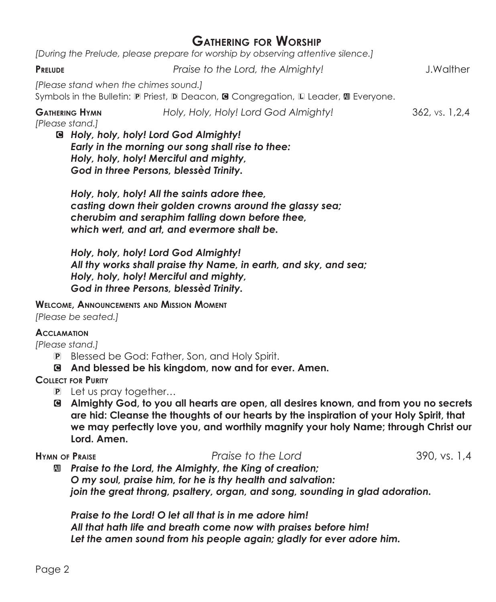## **Gathering for Worship**

*[During the Prelude, please prepare for worship by observing attentive silence.]*

#### **Prelude** *Praise to the Lord, the Almighty!* J.Walther

*[Please stand when the chimes sound.]*

Symbols in the Bulletin:  $\mathbb D$  Priest,  $\mathbb D$  Deacon, **G** Congregation,  $\mathbb D$  Leader,  $\mathbb D$  Everyone.

**Gathering Hymn** *Holy, Holy, Holy! Lord God Almighty!* 362, vs. 1,2,4

*[Please stand.]*

C *Holy, holy, holy! Lord God Almighty! Early in the morning our song shall rise to thee: Holy, holy, holy! Merciful and mighty, God in three Persons, blessèd Trinity.*

*Holy, holy, holy! All the saints adore thee, casting down their golden crowns around the glassy sea; cherubim and seraphim falling down before thee, which wert, and art, and evermore shalt be.*

*Holy, holy, holy! Lord God Almighty! All thy works shall praise thy Name, in earth, and sky, and sea; Holy, holy, holy! Merciful and mighty, God in three Persons, blessèd Trinity.*

**Welcome, Announcements and Mission Moment**

*[Please be seated.]*

#### **Acclamation**

*[Please stand.]*

- P Blessed be God: Father, Son, and Holy Spirit.
- C **And blessed be his kingdom, now and for ever. Amen.**

### **Collect for Purity**

- P Let us pray together…
- C **Almighty God, to you all hearts are open, all desires known, and from you no secrets are hid: Cleanse the thoughts of our hearts by the inspiration of your Holy Spirit, that we may perfectly love you, and worthily magnify your holy Name; through Christ our Lord. Amen.**

### **Hymn of Praise** *Praise to the Lord* 390, vs. 1,4

a *Praise to the Lord, the Almighty, the King of creation; O my soul, praise him, for he is thy health and salvation: join the great throng, psaltery, organ, and song, sounding in glad adoration.*

*Praise to the Lord! O let all that is in me adore him! All that hath life and breath come now with praises before him! Let the amen sound from his people again; gladly for ever adore him.*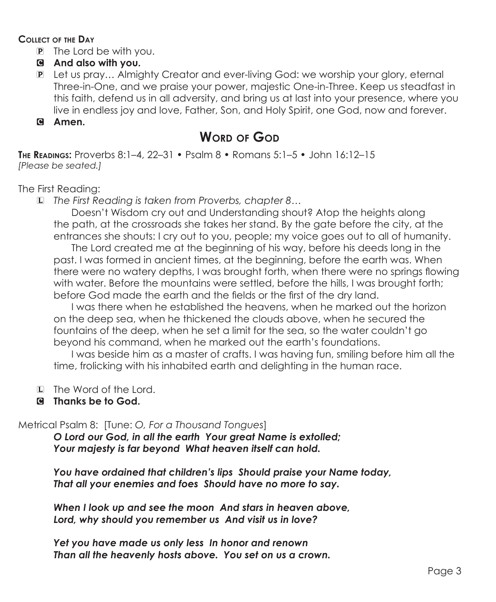#### **Collect of the Day**

- P The Lord be with you.
- C **And also with you.**
- P Let us pray… Almighty Creator and ever-living God: we worship your glory, eternal Three-in-One, and we praise your power, majestic One-in-Three. Keep us steadfast in this faith, defend us in all adversity, and bring us at last into your presence, where you live in endless joy and love, Father, Son, and Holy Spirit, one God, now and forever.

### C **Amen.**

# **Word of God**

**The Readings:** Proverbs 8:1–4, 22–31 • Psalm 8 • Romans 5:1–5 • John 16:12–15 *[Please be seated.]*

The First Reading:

L *The First Reading is taken from Proverbs, chapter 8…*

 Doesn't Wisdom cry out and Understanding shout? Atop the heights along the path, at the crossroads she takes her stand. By the gate before the city, at the entrances she shouts: I cry out to you, people; my voice goes out to all of humanity.

The Lord created me at the beginning of his way, before his deeds long in the past. I was formed in ancient times, at the beginning, before the earth was. When there were no watery depths, I was brought forth, when there were no springs flowing with water. Before the mountains were settled, before the hills, I was brought forth; before God made the earth and the fields or the first of the dry land.

 I was there when he established the heavens, when he marked out the horizon on the deep sea, when he thickened the clouds above, when he secured the fountains of the deep, when he set a limit for the sea, so the water couldn't go beyond his command, when he marked out the earth's foundations.

 I was beside him as a master of crafts. I was having fun, smiling before him all the time, frolicking with his inhabited earth and delighting in the human race.

- L The Word of the Lord.
- C **Thanks be to God.**

Metrical Psalm 8: [Tune: *O, For a Thousand Tongues*]

*O Lord our God, in all the earth Your great Name is extolled; Your majesty is far beyond What heaven itself can hold.*

*You have ordained that children's lips Should praise your Name today, That all your enemies and foes Should have no more to say.*

*When I look up and see the moon And stars in heaven above, Lord, why should you remember us And visit us in love?*

*Yet you have made us only less In honor and renown Than all the heavenly hosts above. You set on us a crown.*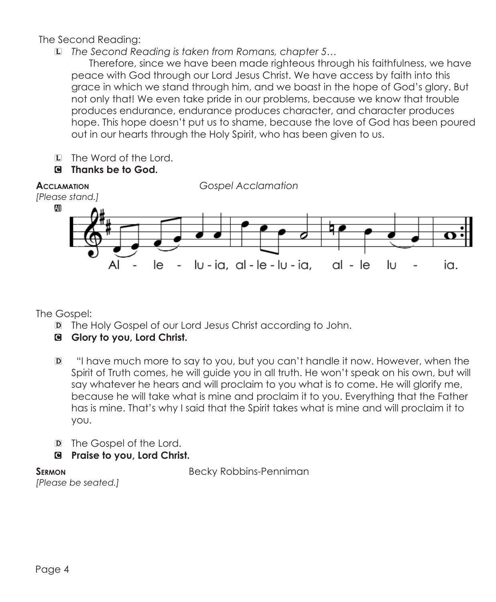The Second Reading:

L *The Second Reading is taken from Romans, chapter 5…*

Therefore, since we have been made righteous through his faithfulness, we have peace with God through our Lord Jesus Christ. We have access by faith into this grace in which we stand through him, and we boast in the hope of God's glory. But not only that! We even take pride in our problems, because we know that trouble produces endurance, endurance produces character, and character produces hope. This hope doesn't put us to shame, because the love of God has been poured out in our hearts through the Holy Spirit, who has been given to us.

- L The Word of the Lord.
- C **Thanks be to God.**



The Gospel:

- D The Holy Gospel of our Lord Jesus Christ according to John.
- C **Glory to you, Lord Christ.**
- D "I have much more to say to you, but you can't handle it now. However, when the Spirit of Truth comes, he will guide you in all truth. He won't speak on his own, but will say whatever he hears and will proclaim to you what is to come. He will glorify me, because he will take what is mine and proclaim it to you. Everything that the Father has is mine. That's why I said that the Spirit takes what is mine and will proclaim it to you.
- D The Gospel of the Lord.
- C **Praise to you, Lord Christ.**

**SERMON** Becky Robbins-Penniman

*[Please be seated.]*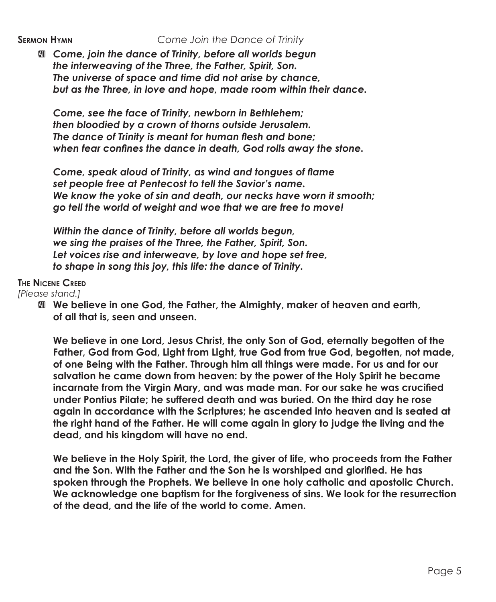a *Come, join the dance of Trinity, before all worlds begun the interweaving of the Three, the Father, Spirit, Son. The universe of space and time did not arise by chance, but as the Three, in love and hope, made room within their dance.*

*Come, see the face of Trinity, newborn in Bethlehem; then bloodied by a crown of thorns outside Jerusalem. The dance of Trinity is meant for human flesh and bone; when fear confines the dance in death, God rolls away the stone.*

*Come, speak aloud of Trinity, as wind and tongues of flame set people free at Pentecost to tell the Savior's name. We know the yoke of sin and death, our necks have worn it smooth; go tell the world of weight and woe that we are free to move!*

*Within the dance of Trinity, before all worlds begun, we sing the praises of the Three, the Father, Spirit, Son. Let voices rise and interweave, by love and hope set free, to shape in song this joy, this life: the dance of Trinity.*

#### **The Nicene Creed**

*[Please stand.]*

a **We believe in one God, the Father, the Almighty, maker of heaven and earth, of all that is, seen and unseen.**

 **We believe in one Lord, Jesus Christ, the only Son of God, eternally begotten of the Father, God from God, Light from Light, true God from true God, begotten, not made, of one Being with the Father. Through him all things were made. For us and for our salvation he came down from heaven: by the power of the Holy Spirit he became incarnate from the Virgin Mary, and was made man. For our sake he was crucified under Pontius Pilate; he suffered death and was buried. On the third day he rose again in accordance with the Scriptures; he ascended into heaven and is seated at the right hand of the Father. He will come again in glory to judge the living and the dead, and his kingdom will have no end.**

 **We believe in the Holy Spirit, the Lord, the giver of life, who proceeds from the Father and the Son. With the Father and the Son he is worshiped and glorified. He has spoken through the Prophets. We believe in one holy catholic and apostolic Church. We acknowledge one baptism for the forgiveness of sins. We look for the resurrection of the dead, and the life of the world to come. Amen.**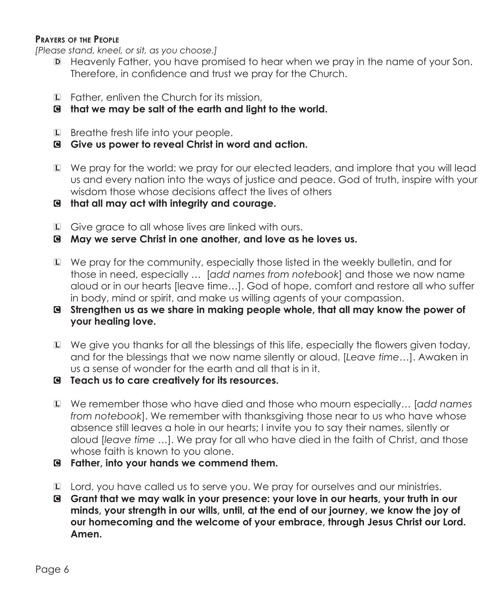#### **Prayers of the People**

*[Please stand, kneel, or sit, as you choose.]*

- D Heavenly Father, you have promised to hear when we pray in the name of your Son. Therefore, in confidence and trust we pray for the Church.
- L Father, enliven the Church for its mission,
- C **that we may be salt of the earth and light to the world.**
- L Breathe fresh life into your people.
- C **Give us power to reveal Christ in word and action.**
- L We pray for the world: we pray for our elected leaders, and implore that you will lead us and every nation into the ways of justice and peace. God of truth, inspire with your wisdom those whose decisions affect the lives of others
- C **that all may act with integrity and courage.**
- L Give grace to all whose lives are linked with ours.
- C **May we serve Christ in one another, and love as he loves us.**
- L We pray for the community, especially those listed in the weekly bulletin, and for those in need, especially … [*add names from notebook*] and those we now name aloud or in our hearts [leave time…]. God of hope, comfort and restore all who suffer in body, mind or spirit, and make us willing agents of your compassion.
- C **Strengthen us as we share in making people whole, that all may know the power of your healing love.**
- L We give you thanks for all the blessings of this life, especially the flowers given today, and for the blessings that we now name silently or aloud. [*Leave time…*]. Awaken in us a sense of wonder for the earth and all that is in it.
- C **Teach us to care creatively for its resources.**
- L We remember those who have died and those who mourn especially… [*add names from notebook*]. We remember with thanksgiving those near to us who have whose absence still leaves a hole in our hearts; I invite you to say their names, silently or aloud [*leave time …*]. We pray for all who have died in the faith of Christ, and those whose faith is known to you alone.
- C **Father, into your hands we commend them.**
- L Lord, you have called us to serve you. We pray for ourselves and our ministries.
- C **Grant that we may walk in your presence: your love in our hearts, your truth in our minds, your strength in our wills, until, at the end of our journey, we know the joy of our homecoming and the welcome of your embrace, through Jesus Christ our Lord. Amen.**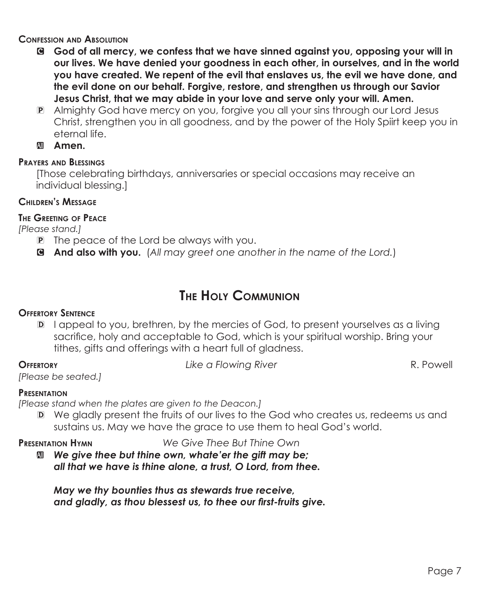#### **Confession and Absolution**

- C **God of all mercy, we confess that we have sinned against you, opposing your will in our lives. We have denied your goodness in each other, in ourselves, and in the world you have created. We repent of the evil that enslaves us, the evil we have done, and the evil done on our behalf. Forgive, restore, and strengthen us through our Savior Jesus Christ, that we may abide in your love and serve only your will. Amen.**
- P Almighty God have mercy on you, forgive you all your sins through our Lord Jesus Christ, strengthen you in all goodness, and by the power of the Holy Spiirt keep you in eternal life.
- **Amen.**

### **Prayers and Blessings**

[Those celebrating birthdays, anniversaries or special occasions may receive an individual blessing.]

#### **Children's Message**

### **The Greeting of Peace**

*[Please stand.]*

- P The peace of the Lord be always with you.
- C **And also with you.** (*All may greet one another in the name of the Lord.*)

## **The Holy Communion**

#### **Offertory Sentence**

D I appeal to you, brethren, by the mercies of God, to present yourselves as a living sacrifice, holy and acceptable to God, which is your spiritual worship. Bring your tithes, gifts and offerings with a heart full of gladness.

**Offertory** *Like a Flowing River* R. Powell

*[Please be seated.]*

#### **Presentation**

*[Please stand when the plates are given to the Deacon.]*

D We gladly present the fruits of our lives to the God who creates us, redeems us and sustains us. May we have the grace to use them to heal God's world.

**Presentation Hymn** *We Give Thee But Thine Own*

 $\mathbf{M}$  We give thee but thine own, whate'er the gift may be; *all that we have is thine alone, a trust, O Lord, from thee.*

*May we thy bounties thus as stewards true receive, and gladly, as thou blessest us, to thee our first-fruits give.*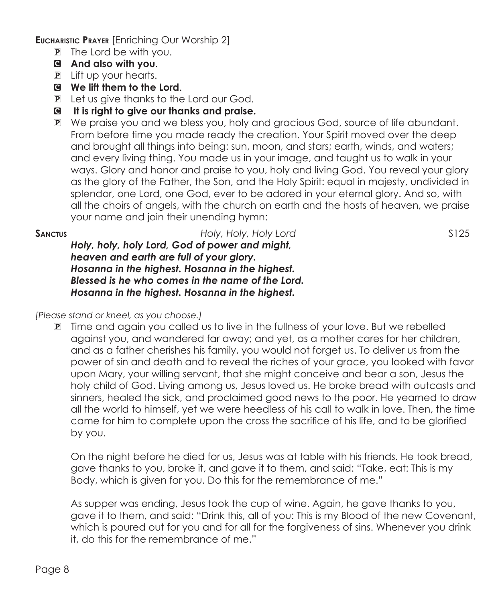**Eucharistic Prayer** [Enriching Our Worship 2]

- P The Lord be with you.
- C **And also with you**.
- P Lift up your hearts.
- C **We lift them to the Lord**.
- P Let us give thanks to the Lord our God.
- C **It is right to give our thanks and praise.**
- P We praise you and we bless you, holy and gracious God, source of life abundant. From before time you made ready the creation. Your Spirit moved over the deep and brought all things into being: sun, moon, and stars; earth, winds, and waters; and every living thing. You made us in your image, and taught us to walk in your ways. Glory and honor and praise to you, holy and living God. You reveal your glory as the glory of the Father, the Son, and the Holy Spirit: equal in majesty, undivided in splendor, one Lord, one God, ever to be adored in your eternal glory. And so, with all the choirs of angels, with the church on earth and the hosts of heaven, we praise your name and join their unending hymn:

**Sanctus** *Holy, Holy, Holy Lord* S125

*Holy, holy, holy Lord, God of power and might, heaven and earth are full of your glory. Hosanna in the highest. Hosanna in the highest. Blessed is he who comes in the name of the Lord. Hosanna in the highest. Hosanna in the highest.*

*[Please stand or kneel, as you choose.]*

P Time and again you called us to live in the fullness of your love. But we rebelled against you, and wandered far away; and yet, as a mother cares for her children, and as a father cherishes his family, you would not forget us. To deliver us from the power of sin and death and to reveal the riches of your grace, you looked with favor upon Mary, your willing servant, that she might conceive and bear a son, Jesus the holy child of God. Living among us, Jesus loved us. He broke bread with outcasts and sinners, healed the sick, and proclaimed good news to the poor. He yearned to draw all the world to himself, yet we were heedless of his call to walk in love. Then, the time came for him to complete upon the cross the sacrifice of his life, and to be glorified by you.

 On the night before he died for us, Jesus was at table with his friends. He took bread, gave thanks to you, broke it, and gave it to them, and said: "Take, eat: This is my Body, which is given for you. Do this for the remembrance of me."

 As supper was ending, Jesus took the cup of wine. Again, he gave thanks to you, gave it to them, and said: "Drink this, all of you: This is my Blood of the new Covenant, which is poured out for you and for all for the forgiveness of sins. Whenever you drink it, do this for the remembrance of me."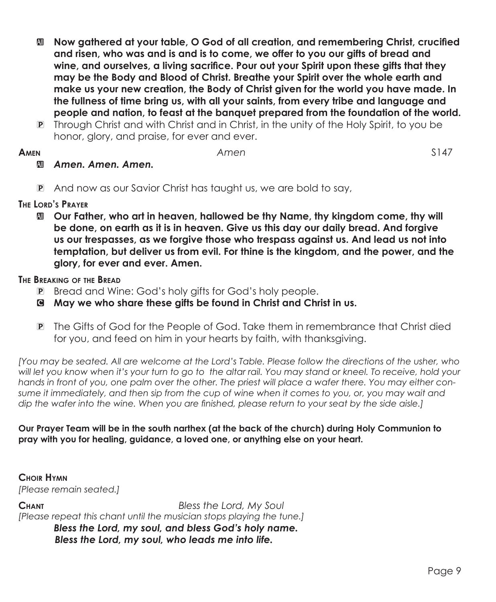- a **Now gathered at your table, O God of all creation, and remembering Christ, crucified and risen, who was and is and is to come, we offer to you our gifts of bread and wine, and ourselves, a living sacrifice. Pour out your Spirit upon these gifts that they may be the Body and Blood of Christ. Breathe your Spirit over the whole earth and make us your new creation, the Body of Christ given for the world you have made. In the fullness of time bring us, with all your saints, from every tribe and language and people and nation, to feast at the banquet prepared from the foundation of the world.**
- P Through Christ and with Christ and in Christ, in the unity of the Holy Spirit, to you be honor, glory, and praise, for ever and ever.

#### **Amen** *Amen* S147

### a *Amen. Amen. Amen.*

P And now as our Savior Christ has taught us, we are bold to say,

#### **The Lord's Prayer**

a **Our Father, who art in heaven, hallowed be thy Name, thy kingdom come, thy will be done, on earth as it is in heaven. Give us this day our daily bread. And forgive us our trespasses, as we forgive those who trespass against us. And lead us not into temptation, but deliver us from evil. For thine is the kingdom, and the power, and the glory, for ever and ever. Amen.**

#### **The Breaking of the Bread**

- P Bread and Wine: God's holy gifts for God's holy people.
- C **May we who share these gifts be found in Christ and Christ in us.**
- P The Gifts of God for the People of God. Take them in remembrance that Christ died for you, and feed on him in your hearts by faith, with thanksgiving.

*[You may be seated. All are welcome at the Lord's Table. Please follow the directions of the usher, who*  will let you know when it's your turn to go to the altar rail. You may stand or kneel. To receive, hold your *hands in front of you, one palm over the other. The priest will place a wafer there. You may either consume it immediately, and then sip from the cup of wine when it comes to you, or, you may wait and dip the wafer into the wine. When you are finished, please return to your seat by the side aisle.]*

#### **Our Prayer Team will be in the south narthex (at the back of the church) during Holy Communion to pray with you for healing, guidance, a loved one, or anything else on your heart.**

**Choir Hymn** *[Please remain seated.]*

**Chant** *Bless the Lord, My Soul [Please repeat this chant until the musician stops playing the tune.] Bless the Lord, my soul, and bless God's holy name. Bless the Lord, my soul, who leads me into life.*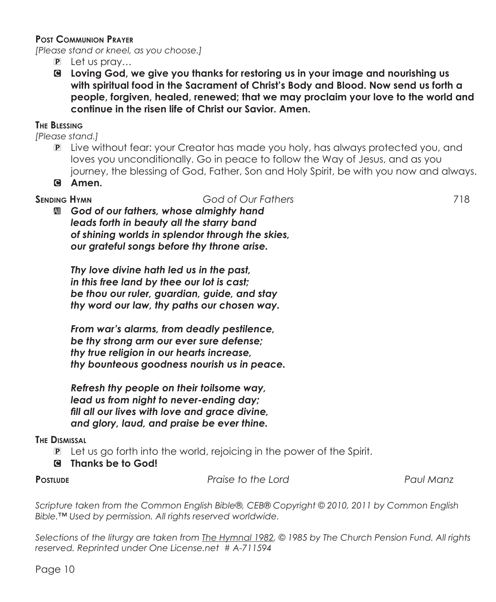#### **Post Communion Prayer**

*[Please stand or kneel, as you choose.]*

- P Let us pray…
- C **Loving God, we give you thanks for restoring us in your image and nourishing us with spiritual food in the Sacrament of Christ's Body and Blood. Now send us forth a people, forgiven, healed, renewed; that we may proclaim your love to the world and continue in the risen life of Christ our Savior. Amen.**

#### **The Blessing**

*[Please stand.]*

- P Live without fear: your Creator has made you holy, has always protected you, and loves you unconditionally. Go in peace to follow the Way of Jesus, and as you journey, the blessing of God, Father, Son and Holy Spirit, be with you now and always.
- C **Amen.**

**Sending Hymn** *God of Our Fathers* 718 a *God of our fathers, whose almighty hand leads forth in beauty all the starry band of shining worlds in splendor through the skies, our grateful songs before thy throne arise.*

*Thy love divine hath led us in the past, in this free land by thee our lot is cast; be thou our ruler, guardian, guide, and stay thy word our law, thy paths our chosen way.*

*From war's alarms, from deadly pestilence, be thy strong arm our ever sure defense; thy true religion in our hearts increase, thy bounteous goodness nourish us in peace.*

*Refresh thy people on their toilsome way, lead us from night to never-ending day; fill all our lives with love and grace divine, and glory, laud, and praise be ever thine.*

#### **The Dismissal**

- P Let us go forth into the world, rejoicing in the power of the Spirit.
- C **Thanks be to God!**

**Postlude** *Praise to the Lord Paul Manz*

*Scripture taken from the Common English Bible®, CEB® Copyright © 2010, 2011 by Common English Bible.™ Used by permission. All rights reserved worldwide.*

*Selections of the liturgy are taken from The Hymnal 1982, © 1985 by The Church Pension Fund. All rights reserved. Reprinted under One License.net # A-711594*